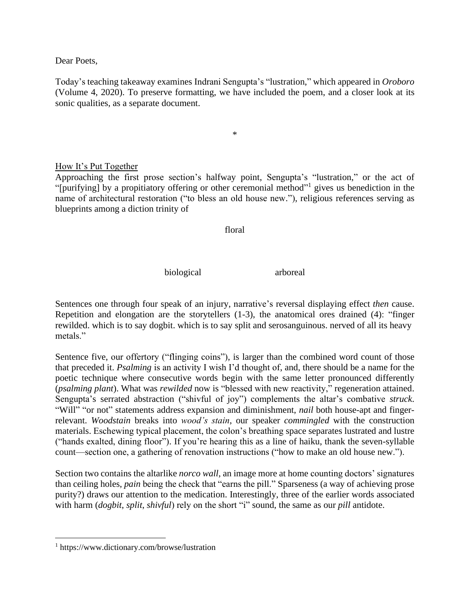Dear Poets,

Today's teaching takeaway examines Indrani Sengupta's "lustration," which appeared in *Oroboro* (Volume 4, 2020). To preserve formatting, we have included the poem, and a closer look at its sonic qualities, as a separate document.

\*

How It's Put Together

Approaching the first prose section's halfway point, Sengupta's "lustration," or the act of "[purifying] by a propitiatory offering or other ceremonial method"<sup>1</sup> gives us benediction in the name of architectural restoration ("to bless an old house new."), religious references serving as blueprints among a diction trinity of

floral

biological arboreal

Sentences one through four speak of an injury, narrative's reversal displaying effect *then* cause. Repetition and elongation are the storytellers (1-3), the anatomical ores drained (4): "finger rewilded. which is to say dogbit. which is to say split and serosanguinous. nerved of all its heavy metals."

Sentence five, our offertory ("flinging coins"), is larger than the combined word count of those that preceded it. *Psalming* is an activity I wish I'd thought of, and, there should be a name for the poetic technique where consecutive words begin with the same letter pronounced differently (*psalming plant*). What was *rewilded* now is "blessed with new reactivity," regeneration attained. Sengupta's serrated abstraction ("shivful of joy") complements the altar's combative *struck*. "Will" "or not" statements address expansion and diminishment, *nail* both house-apt and fingerrelevant. *Woodstain* breaks into *wood's stain*, our speaker *commingled* with the construction materials. Eschewing typical placement, the colon's breathing space separates lustrated and lustre ("hands exalted, dining floor"). If you're hearing this as a line of haiku, thank the seven-syllable count—section one, a gathering of renovation instructions ("how to make an old house new.").

Section two contains the altarlike *norco wall*, an image more at home counting doctors' signatures than ceiling holes, *pain* being the check that "earns the pill." Sparseness (a way of achieving prose purity?) draws our attention to the medication. Interestingly, three of the earlier words associated with harm (*dogbit*, *split*, *shivful*) rely on the short "i" sound, the same as our *pill* antidote.

<sup>1</sup> https://www.dictionary.com/browse/lustration